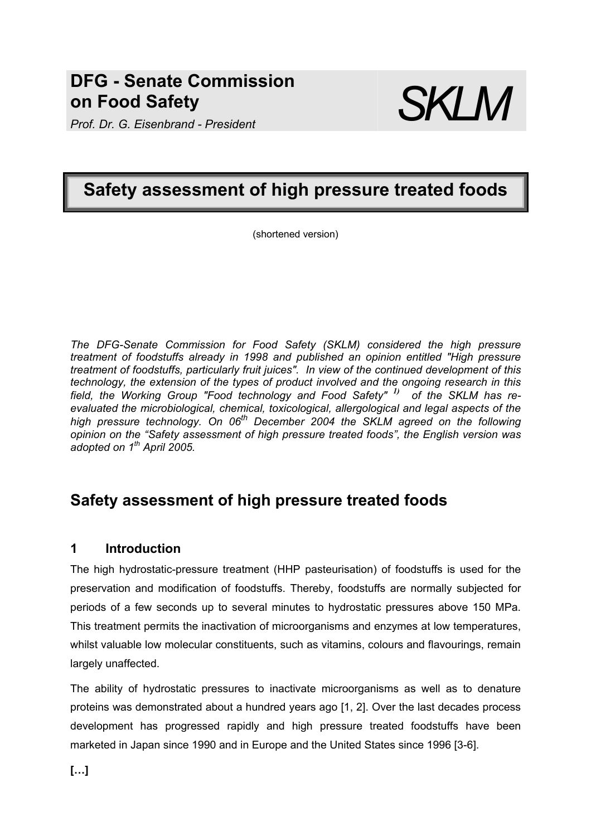# **DFG - Senate Commission on Food Safety Prof. Dr. G. Eisenbrand - President SKLM**



# **Safety assessment of high pressure treated foods**

(shortened version)

*The DFG-Senate Commission for Food Safety (SKLM) considered the high pressure treatment of foodstuffs already in 1998 and published an opinion entitled "High pressure treatment of foodstuffs, particularly fruit juices". In view of the continued development of this technology, the extension of the types of product involved and the ongoing research in this field, the Working Group "Food technology and Food Safety" 1) of the SKLM has reevaluated the microbiological, chemical, toxicological, allergological and legal aspects of the high pressure technology. On 06th December 2004 the SKLM agreed on the following opinion on the "Safety assessment of high pressure treated foods", the English version was adopted on 1th April 2005.* 

# **Safety assessment of high pressure treated foods**

# **1 Introduction**

The high hydrostatic-pressure treatment (HHP pasteurisation) of foodstuffs is used for the preservation and modification of foodstuffs. Thereby, foodstuffs are normally subjected for periods of a few seconds up to several minutes to hydrostatic pressures above 150 MPa. This treatment permits the inactivation of microorganisms and enzymes at low temperatures, whilst valuable low molecular constituents, such as vitamins, colours and flavourings, remain largely unaffected.

The ability of hydrostatic pressures to inactivate microorganisms as well as to denature proteins was demonstrated about a hundred years ago [1, 2]. Over the last decades process development has progressed rapidly and high pressure treated foodstuffs have been marketed in Japan since 1990 and in Europe and the United States since 1996 [3-6].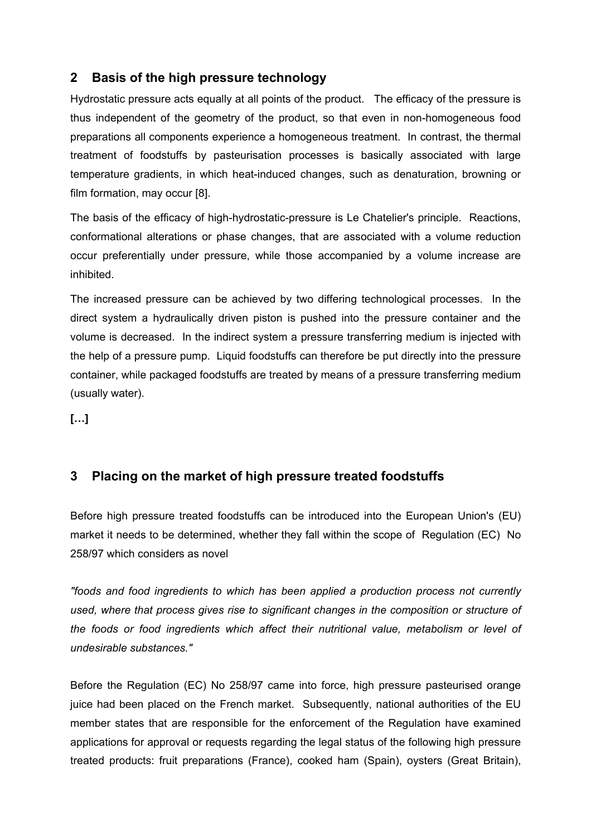# **2 Basis of the high pressure technology**

Hydrostatic pressure acts equally at all points of the product. The efficacy of the pressure is thus independent of the geometry of the product, so that even in non-homogeneous food preparations all components experience a homogeneous treatment. In contrast, the thermal treatment of foodstuffs by pasteurisation processes is basically associated with large temperature gradients, in which heat-induced changes, such as denaturation, browning or film formation, may occur [8].

The basis of the efficacy of high-hydrostatic-pressure is Le Chatelier's principle. Reactions, conformational alterations or phase changes, that are associated with a volume reduction occur preferentially under pressure, while those accompanied by a volume increase are inhibited.

The increased pressure can be achieved by two differing technological processes. In the direct system a hydraulically driven piston is pushed into the pressure container and the volume is decreased. In the indirect system a pressure transferring medium is injected with the help of a pressure pump. Liquid foodstuffs can therefore be put directly into the pressure container, while packaged foodstuffs are treated by means of a pressure transferring medium (usually water).

**[…]** 

# **3 Placing on the market of high pressure treated foodstuffs**

Before high pressure treated foodstuffs can be introduced into the European Union's (EU) market it needs to be determined, whether they fall within the scope of Regulation (EC) No 258/97 which considers as novel

*"foods and food ingredients to which has been applied a production process not currently used, where that process gives rise to significant changes in the composition or structure of the foods or food ingredients which affect their nutritional value, metabolism or level of undesirable substances."* 

Before the Regulation (EC) No 258/97 came into force, high pressure pasteurised orange juice had been placed on the French market. Subsequently, national authorities of the EU member states that are responsible for the enforcement of the Regulation have examined applications for approval or requests regarding the legal status of the following high pressure treated products: fruit preparations (France), cooked ham (Spain), oysters (Great Britain),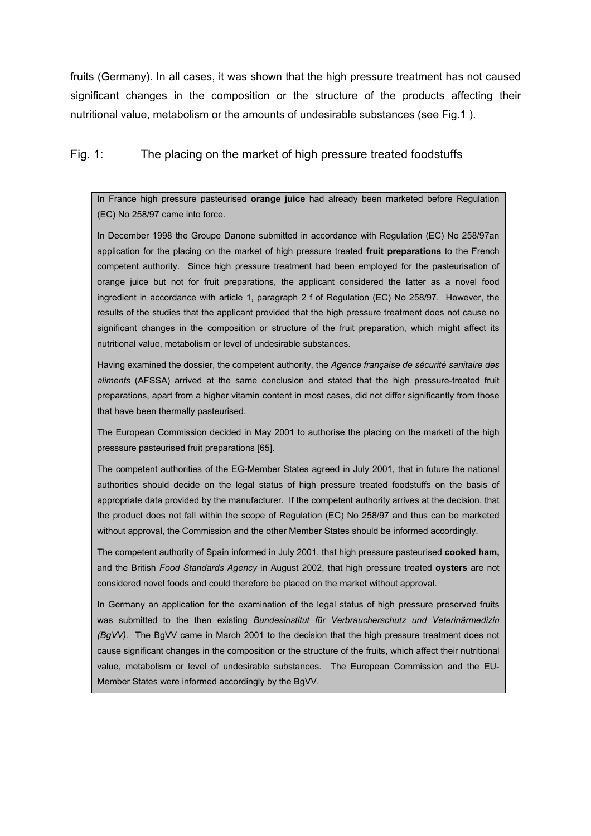fruits (Germany). In all cases, it was shown that the high pressure treatment has not caused significant changes in the composition or the structure of the products affecting their nutritional value, metabolism or the amounts of undesirable substances (see Fig.1 ).

#### Fig. 1: The placing on the market of high pressure treated foodstuffs

In France high pressure pasteurised **orange juice** had already been marketed before Regulation (EC) No 258/97 came into force.

In December 1998 the Groupe Danone submitted in accordance with Regulation (EC) No 258/97an application for the placing on the market of high pressure treated **fruit preparations** to the French competent authority. Since high pressure treatment had been employed for the pasteurisation of orange juice but not for fruit preparations, the applicant considered the latter as a novel food ingredient in accordance with article 1, paragraph 2 f of Regulation (EC) No 258/97. However, the results of the studies that the applicant provided that the high pressure treatment does not cause no significant changes in the composition or structure of the fruit preparation, which might affect its nutritional value, metabolism or level of undesirable substances.

Having examined the dossier, the competent authority, the *Agence française de sécurité sanitaire des aliments* (AFSSA) arrived at the same conclusion and stated that the high pressure-treated fruit preparations, apart from a higher vitamin content in most cases, did not differ significantly from those that have been thermally pasteurised.

The European Commission decided in May 2001 to authorise the placing on the marketi of the high presssure pasteurised fruit preparations [65].

The competent authorities of the EG-Member States agreed in July 2001, that in future the national authorities should decide on the legal status of high pressure treated foodstuffs on the basis of appropriate data provided by the manufacturer. If the competent authority arrives at the decision, that the product does not fall within the scope of Regulation (EC) No 258/97 and thus can be marketed without approval, the Commission and the other Member States should be informed accordingly.

The competent authority of Spain informed in July 2001, that high pressure pasteurised **cooked ham,** and the British *Food Standards Agency* in August 2002, that high pressure treated **oysters** are not considered novel foods and could therefore be placed on the market without approval.

In Germany an application for the examination of the legal status of high pressure preserved fruits was submitted to the then existing *Bundesinstitut für Verbraucherschutz und Veterinärmedizin (BgVV).* The BgVV came in March 2001 to the decision that the high pressure treatment does not cause significant changes in the composition or the structure of the fruits, which affect their nutritional value, metabolism or level of undesirable substances. The European Commission and the EU-Member States were informed accordingly by the BgVV.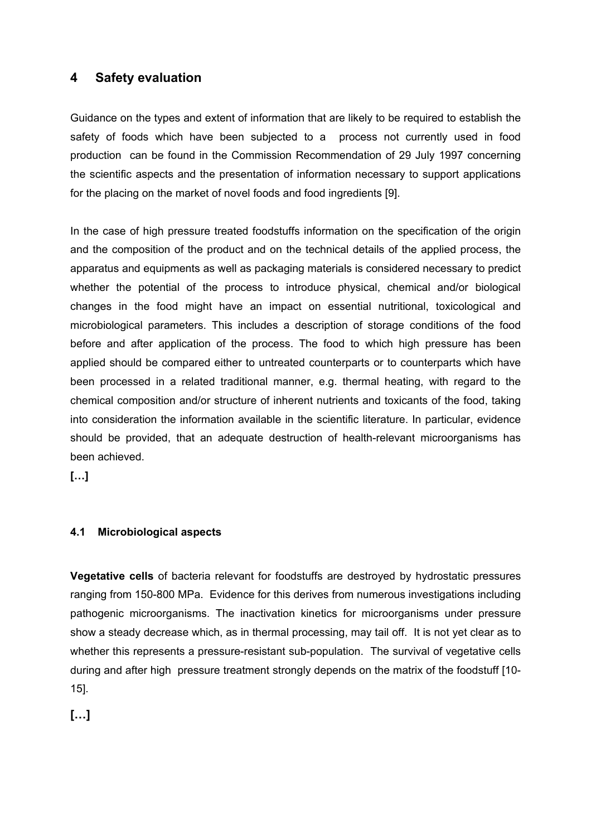## **4 Safety evaluation**

Guidance on the types and extent of information that are likely to be required to establish the safety of foods which have been subjected to a process not currently used in food production can be found in the Commission Recommendation of 29 July 1997 concerning the scientific aspects and the presentation of information necessary to support applications for the placing on the market of novel foods and food ingredients [9].

In the case of high pressure treated foodstuffs information on the specification of the origin and the composition of the product and on the technical details of the applied process, the apparatus and equipments as well as packaging materials is considered necessary to predict whether the potential of the process to introduce physical, chemical and/or biological changes in the food might have an impact on essential nutritional, toxicological and microbiological parameters. This includes a description of storage conditions of the food before and after application of the process. The food to which high pressure has been applied should be compared either to untreated counterparts or to counterparts which have been processed in a related traditional manner, e.g. thermal heating, with regard to the chemical composition and/or structure of inherent nutrients and toxicants of the food, taking into consideration the information available in the scientific literature. In particular, evidence should be provided, that an adequate destruction of health-relevant microorganisms has been achieved.

**[…]** 

## **4.1 Microbiological aspects**

**Vegetative cells** of bacteria relevant for foodstuffs are destroyed by hydrostatic pressures ranging from 150-800 MPa. Evidence for this derives from numerous investigations including pathogenic microorganisms. The inactivation kinetics for microorganisms under pressure show a steady decrease which, as in thermal processing, may tail off. It is not yet clear as to whether this represents a pressure-resistant sub-population. The survival of vegetative cells during and after high pressure treatment strongly depends on the matrix of the foodstuff [10- 15].

**[…]**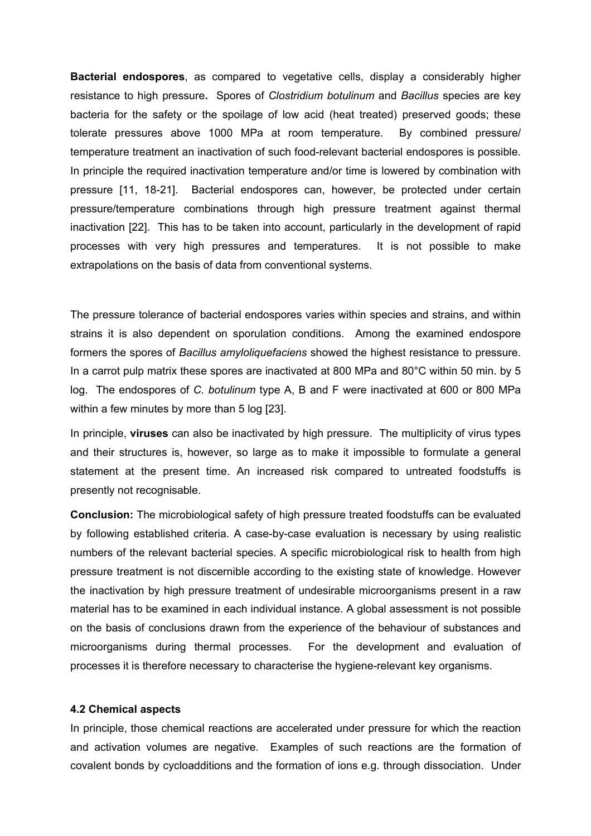**Bacterial endospores**, as compared to vegetative cells, display a considerably higher resistance to high pressure**.** Spores of *Clostridium botulinum* and *Bacillus* species are key bacteria for the safety or the spoilage of low acid (heat treated) preserved goods; these tolerate pressures above 1000 MPa at room temperature. By combined pressure/ temperature treatment an inactivation of such food-relevant bacterial endospores is possible. In principle the required inactivation temperature and/or time is lowered by combination with pressure [11, 18-21]. Bacterial endospores can, however, be protected under certain pressure/temperature combinations through high pressure treatment against thermal inactivation [22]. This has to be taken into account, particularly in the development of rapid processes with very high pressures and temperatures. It is not possible to make extrapolations on the basis of data from conventional systems.

The pressure tolerance of bacterial endospores varies within species and strains, and within strains it is also dependent on sporulation conditions. Among the examined endospore formers the spores of *Bacillus amyloliquefaciens* showed the highest resistance to pressure. In a carrot pulp matrix these spores are inactivated at 800 MPa and 80°C within 50 min. by 5 log. The endospores of *C. botulinum* type A, B and F were inactivated at 600 or 800 MPa within a few minutes by more than 5 log [23].

In principle, **viruses** can also be inactivated by high pressure. The multiplicity of virus types and their structures is, however, so large as to make it impossible to formulate a general statement at the present time. An increased risk compared to untreated foodstuffs is presently not recognisable.

**Conclusion:** The microbiological safety of high pressure treated foodstuffs can be evaluated by following established criteria. A case-by-case evaluation is necessary by using realistic numbers of the relevant bacterial species. A specific microbiological risk to health from high pressure treatment is not discernible according to the existing state of knowledge. However the inactivation by high pressure treatment of undesirable microorganisms present in a raw material has to be examined in each individual instance. A global assessment is not possible on the basis of conclusions drawn from the experience of the behaviour of substances and microorganisms during thermal processes. For the development and evaluation of processes it is therefore necessary to characterise the hygiene-relevant key organisms.

#### **4.2 Chemical aspects**

In principle, those chemical reactions are accelerated under pressure for which the reaction and activation volumes are negative. Examples of such reactions are the formation of covalent bonds by cycloadditions and the formation of ions e.g. through dissociation. Under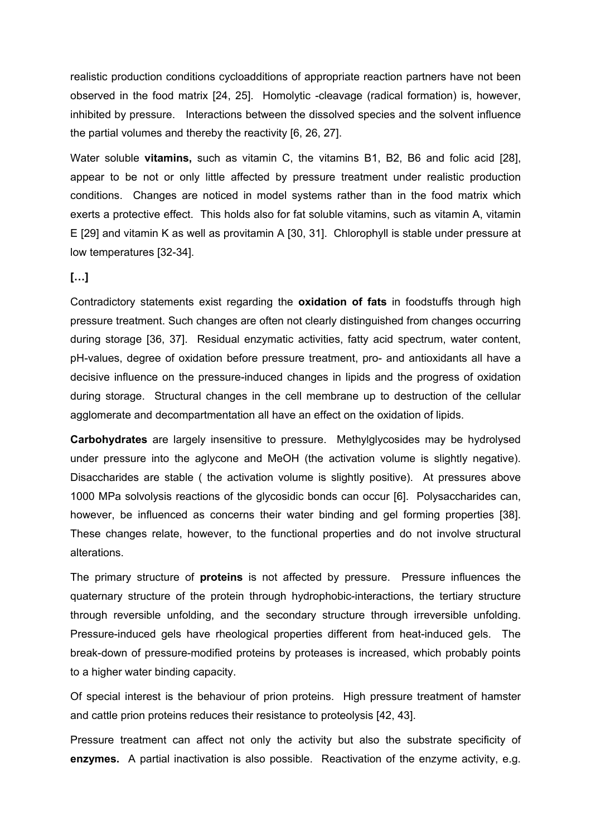realistic production conditions cycloadditions of appropriate reaction partners have not been observed in the food matrix [24, 25]. Homolytic -cleavage (radical formation) is, however, inhibited by pressure. Interactions between the dissolved species and the solvent influence the partial volumes and thereby the reactivity [6, 26, 27].

Water soluble **vitamins,** such as vitamin C, the vitamins B1, B2, B6 and folic acid [28], appear to be not or only little affected by pressure treatment under realistic production conditions. Changes are noticed in model systems rather than in the food matrix which exerts a protective effect. This holds also for fat soluble vitamins, such as vitamin A, vitamin E [29] and vitamin K as well as provitamin A [30, 31]. Chlorophyll is stable under pressure at low temperatures [32-34].

#### **[…]**

Contradictory statements exist regarding the **oxidation of fats** in foodstuffs through high pressure treatment. Such changes are often not clearly distinguished from changes occurring during storage [36, 37]. Residual enzymatic activities, fatty acid spectrum, water content, pH-values, degree of oxidation before pressure treatment, pro- and antioxidants all have a decisive influence on the pressure-induced changes in lipids and the progress of oxidation during storage. Structural changes in the cell membrane up to destruction of the cellular agglomerate and decompartmentation all have an effect on the oxidation of lipids.

**Carbohydrates** are largely insensitive to pressure. Methylglycosides may be hydrolysed under pressure into the aglycone and MeOH (the activation volume is slightly negative). Disaccharides are stable ( the activation volume is slightly positive). At pressures above 1000 MPa solvolysis reactions of the glycosidic bonds can occur [6]. Polysaccharides can, however, be influenced as concerns their water binding and gel forming properties [38]. These changes relate, however, to the functional properties and do not involve structural alterations.

The primary structure of **proteins** is not affected by pressure. Pressure influences the quaternary structure of the protein through hydrophobic-interactions, the tertiary structure through reversible unfolding, and the secondary structure through irreversible unfolding. Pressure-induced gels have rheological properties different from heat-induced gels. The break-down of pressure-modified proteins by proteases is increased, which probably points to a higher water binding capacity.

Of special interest is the behaviour of prion proteins. High pressure treatment of hamster and cattle prion proteins reduces their resistance to proteolysis [42, 43].

Pressure treatment can affect not only the activity but also the substrate specificity of **enzymes.** A partial inactivation is also possible. Reactivation of the enzyme activity, e.g.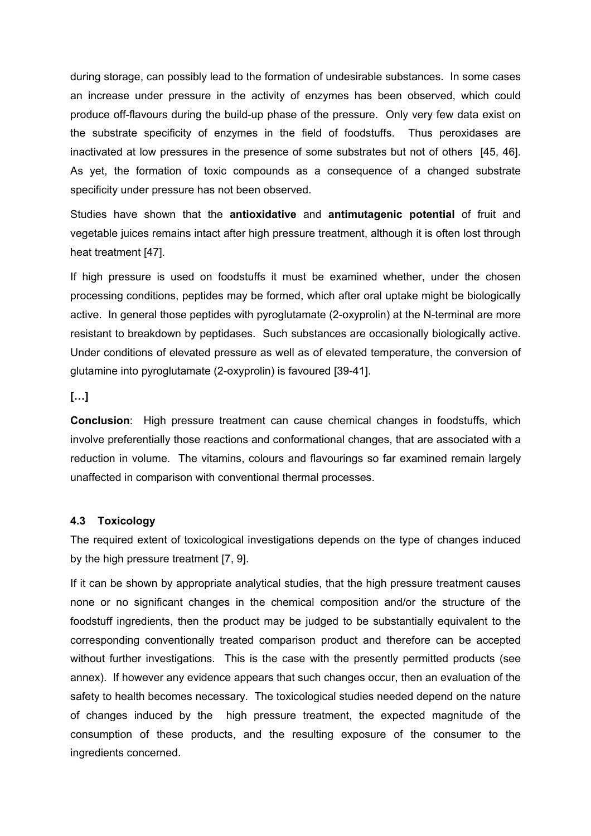during storage, can possibly lead to the formation of undesirable substances. In some cases an increase under pressure in the activity of enzymes has been observed, which could produce off-flavours during the build-up phase of the pressure. Only very few data exist on the substrate specificity of enzymes in the field of foodstuffs. Thus peroxidases are inactivated at low pressures in the presence of some substrates but not of others [45, 46]. As yet, the formation of toxic compounds as a consequence of a changed substrate specificity under pressure has not been observed.

Studies have shown that the **antioxidative** and **antimutagenic potential** of fruit and vegetable juices remains intact after high pressure treatment, although it is often lost through heat treatment [47].

If high pressure is used on foodstuffs it must be examined whether, under the chosen processing conditions, peptides may be formed, which after oral uptake might be biologically active. In general those peptides with pyroglutamate (2-oxyprolin) at the N-terminal are more resistant to breakdown by peptidases. Such substances are occasionally biologically active. Under conditions of elevated pressure as well as of elevated temperature, the conversion of glutamine into pyroglutamate (2-oxyprolin) is favoured [39-41].

**[…]** 

**Conclusion**: High pressure treatment can cause chemical changes in foodstuffs, which involve preferentially those reactions and conformational changes, that are associated with a reduction in volume. The vitamins, colours and flavourings so far examined remain largely unaffected in comparison with conventional thermal processes.

### **4.3 Toxicology**

The required extent of toxicological investigations depends on the type of changes induced by the high pressure treatment [7, 9].

If it can be shown by appropriate analytical studies, that the high pressure treatment causes none or no significant changes in the chemical composition and/or the structure of the foodstuff ingredients, then the product may be judged to be substantially equivalent to the corresponding conventionally treated comparison product and therefore can be accepted without further investigations. This is the case with the presently permitted products (see annex). If however any evidence appears that such changes occur, then an evaluation of the safety to health becomes necessary. The toxicological studies needed depend on the nature of changes induced by the high pressure treatment, the expected magnitude of the consumption of these products, and the resulting exposure of the consumer to the ingredients concerned.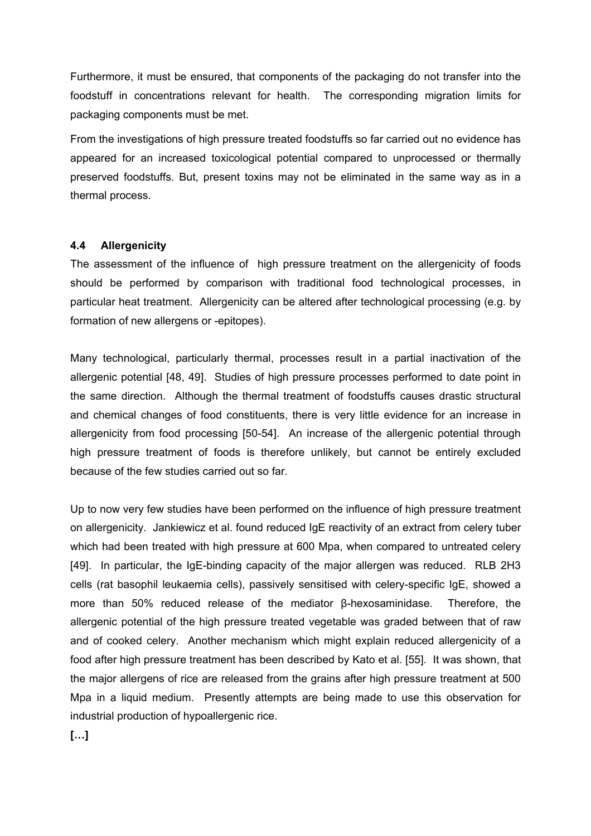Furthermore, it must be ensured, that components of the packaging do not transfer into the foodstuff in concentrations relevant for health. The corresponding migration limits for packaging components must be met.

From the investigations of high pressure treated foodstuffs so far carried out no evidence has appeared for an increased toxicological potential compared to unprocessed or thermally preserved foodstuffs. But, present toxins may not be eliminated in the same way as in a thermal process.

#### **4.4 Allergenicity**

The assessment of the influence of high pressure treatment on the allergenicity of foods should be performed by comparison with traditional food technological processes, in particular heat treatment. Allergenicity can be altered after technological processing (e.g. by formation of new allergens or -epitopes).

Many technological, particularly thermal, processes result in a partial inactivation of the allergenic potential [48, 49]. Studies of high pressure processes performed to date point in the same direction. Although the thermal treatment of foodstuffs causes drastic structural and chemical changes of food constituents, there is very little evidence for an increase in allergenicity from food processing [50-54]. An increase of the allergenic potential through high pressure treatment of foods is therefore unlikely, but cannot be entirely excluded because of the few studies carried out so far.

Up to now very few studies have been performed on the influence of high pressure treatment on allergenicity. Jankiewicz et al. found reduced IgE reactivity of an extract from celery tuber which had been treated with high pressure at 600 Mpa, when compared to untreated celery [49]. In particular, the IgE-binding capacity of the major allergen was reduced. RLB 2H3 cells (rat basophil leukaemia cells), passively sensitised with celery-specific IgE, showed a more than 50% reduced release of the mediator β-hexosaminidase. Therefore, the allergenic potential of the high pressure treated vegetable was graded between that of raw and of cooked celery. Another mechanism which might explain reduced allergenicity of a food after high pressure treatment has been described by Kato et al. [55]. It was shown, that the major allergens of rice are released from the grains after high pressure treatment at 500 Mpa in a liquid medium. Presently attempts are being made to use this observation for industrial production of hypoallergenic rice.

**[…]**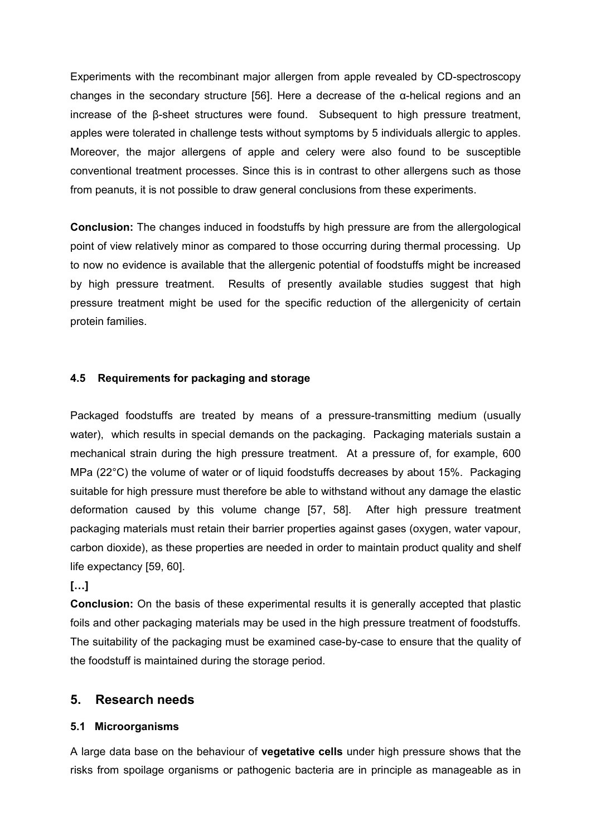Experiments with the recombinant major allergen from apple revealed by CD-spectroscopy changes in the secondary structure [56]. Here a decrease of the α-helical regions and an increase of the β-sheet structures were found. Subsequent to high pressure treatment, apples were tolerated in challenge tests without symptoms by 5 individuals allergic to apples. Moreover, the major allergens of apple and celery were also found to be susceptible conventional treatment processes. Since this is in contrast to other allergens such as those from peanuts, it is not possible to draw general conclusions from these experiments.

**Conclusion:** The changes induced in foodstuffs by high pressure are from the allergological point of view relatively minor as compared to those occurring during thermal processing. Up to now no evidence is available that the allergenic potential of foodstuffs might be increased by high pressure treatment. Results of presently available studies suggest that high pressure treatment might be used for the specific reduction of the allergenicity of certain protein families.

### **4.5 Requirements for packaging and storage**

Packaged foodstuffs are treated by means of a pressure-transmitting medium (usually water), which results in special demands on the packaging. Packaging materials sustain a mechanical strain during the high pressure treatment. At a pressure of, for example, 600 MPa (22°C) the volume of water or of liquid foodstuffs decreases by about 15%. Packaging suitable for high pressure must therefore be able to withstand without any damage the elastic deformation caused by this volume change [57, 58]. After high pressure treatment packaging materials must retain their barrier properties against gases (oxygen, water vapour, carbon dioxide), as these properties are needed in order to maintain product quality and shelf life expectancy [59, 60].

**[…]** 

**Conclusion:** On the basis of these experimental results it is generally accepted that plastic foils and other packaging materials may be used in the high pressure treatment of foodstuffs. The suitability of the packaging must be examined case-by-case to ensure that the quality of the foodstuff is maintained during the storage period.

## **5. Research needs**

## **5.1 Microorganisms**

A large data base on the behaviour of **vegetative cells** under high pressure shows that the risks from spoilage organisms or pathogenic bacteria are in principle as manageable as in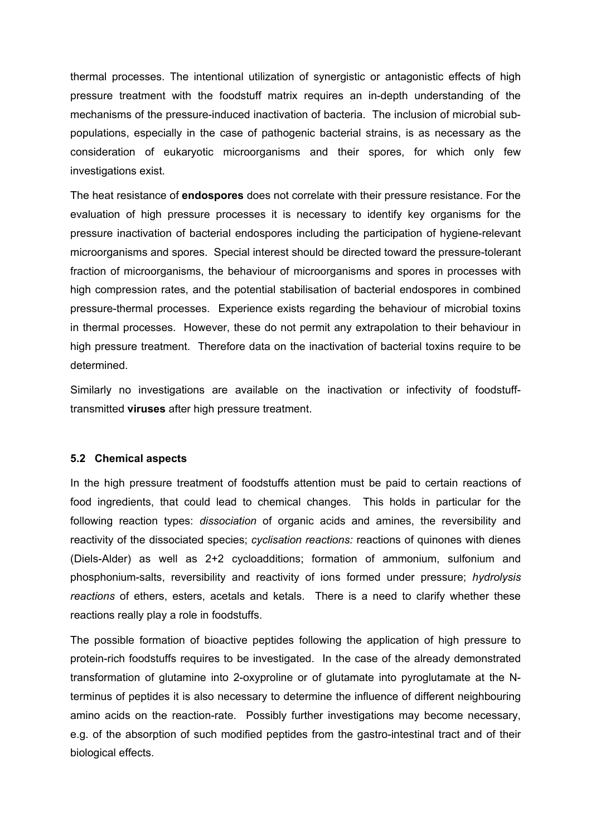thermal processes. The intentional utilization of synergistic or antagonistic effects of high pressure treatment with the foodstuff matrix requires an in-depth understanding of the mechanisms of the pressure-induced inactivation of bacteria. The inclusion of microbial subpopulations, especially in the case of pathogenic bacterial strains, is as necessary as the consideration of eukaryotic microorganisms and their spores, for which only few investigations exist.

The heat resistance of **endospores** does not correlate with their pressure resistance. For the evaluation of high pressure processes it is necessary to identify key organisms for the pressure inactivation of bacterial endospores including the participation of hygiene-relevant microorganisms and spores. Special interest should be directed toward the pressure-tolerant fraction of microorganisms, the behaviour of microorganisms and spores in processes with high compression rates, and the potential stabilisation of bacterial endospores in combined pressure-thermal processes. Experience exists regarding the behaviour of microbial toxins in thermal processes. However, these do not permit any extrapolation to their behaviour in high pressure treatment. Therefore data on the inactivation of bacterial toxins require to be determined.

Similarly no investigations are available on the inactivation or infectivity of foodstufftransmitted **viruses** after high pressure treatment.

#### **5.2 Chemical aspects**

In the high pressure treatment of foodstuffs attention must be paid to certain reactions of food ingredients, that could lead to chemical changes. This holds in particular for the following reaction types: *dissociation* of organic acids and amines, the reversibility and reactivity of the dissociated species; *cyclisation reactions:* reactions of quinones with dienes (Diels-Alder) as well as 2+2 cycloadditions; formation of ammonium, sulfonium and phosphonium-salts, reversibility and reactivity of ions formed under pressure; *hydrolysis reactions* of ethers, esters, acetals and ketals. There is a need to clarify whether these reactions really play a role in foodstuffs.

The possible formation of bioactive peptides following the application of high pressure to protein-rich foodstuffs requires to be investigated. In the case of the already demonstrated transformation of glutamine into 2-oxyproline or of glutamate into pyroglutamate at the Nterminus of peptides it is also necessary to determine the influence of different neighbouring amino acids on the reaction-rate. Possibly further investigations may become necessary, e.g. of the absorption of such modified peptides from the gastro-intestinal tract and of their biological effects.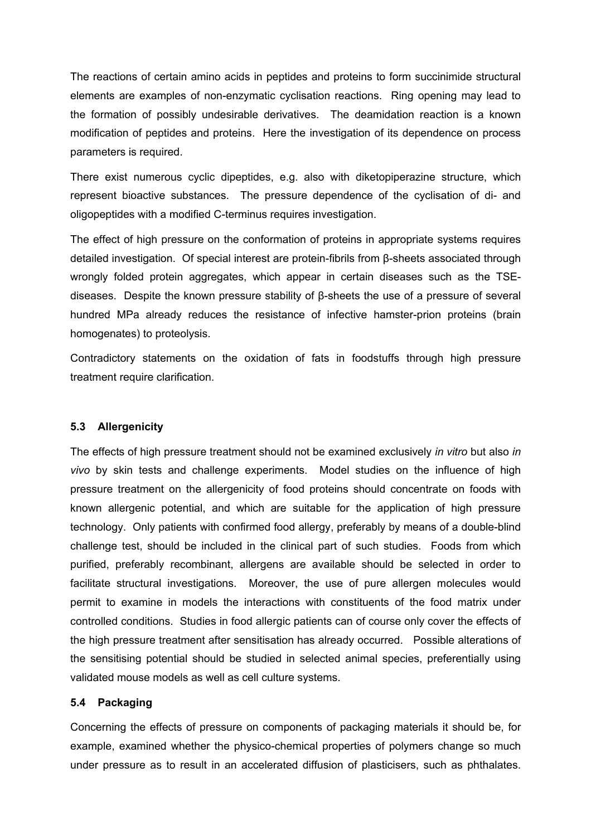The reactions of certain amino acids in peptides and proteins to form succinimide structural elements are examples of non-enzymatic cyclisation reactions. Ring opening may lead to the formation of possibly undesirable derivatives. The deamidation reaction is a known modification of peptides and proteins. Here the investigation of its dependence on process parameters is required.

There exist numerous cyclic dipeptides, e.g. also with diketopiperazine structure, which represent bioactive substances. The pressure dependence of the cyclisation of di- and oligopeptides with a modified C-terminus requires investigation.

The effect of high pressure on the conformation of proteins in appropriate systems requires detailed investigation. Of special interest are protein-fibrils from β-sheets associated through wrongly folded protein aggregates, which appear in certain diseases such as the TSEdiseases. Despite the known pressure stability of β-sheets the use of a pressure of several hundred MPa already reduces the resistance of infective hamster-prion proteins (brain homogenates) to proteolysis.

Contradictory statements on the oxidation of fats in foodstuffs through high pressure treatment require clarification.

#### **5.3 Allergenicity**

The effects of high pressure treatment should not be examined exclusively *in vitro* but also *in vivo* by skin tests and challenge experiments. Model studies on the influence of high pressure treatment on the allergenicity of food proteins should concentrate on foods with known allergenic potential, and which are suitable for the application of high pressure technology. Only patients with confirmed food allergy, preferably by means of a double-blind challenge test, should be included in the clinical part of such studies. Foods from which purified, preferably recombinant, allergens are available should be selected in order to facilitate structural investigations. Moreover, the use of pure allergen molecules would permit to examine in models the interactions with constituents of the food matrix under controlled conditions. Studies in food allergic patients can of course only cover the effects of the high pressure treatment after sensitisation has already occurred. Possible alterations of the sensitising potential should be studied in selected animal species, preferentially using validated mouse models as well as cell culture systems.

#### **5.4 Packaging**

Concerning the effects of pressure on components of packaging materials it should be, for example, examined whether the physico-chemical properties of polymers change so much under pressure as to result in an accelerated diffusion of plasticisers, such as phthalates.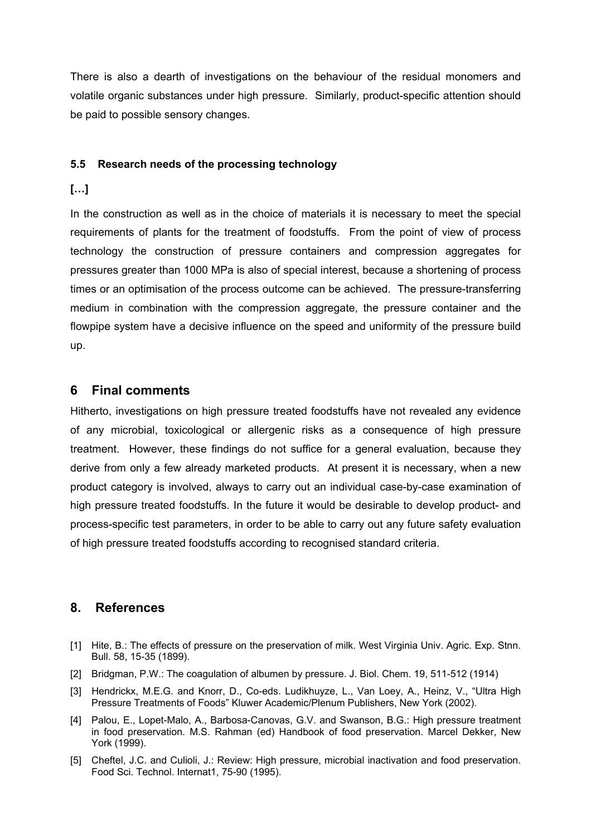There is also a dearth of investigations on the behaviour of the residual monomers and volatile organic substances under high pressure. Similarly, product-specific attention should be paid to possible sensory changes.

#### **5.5 Research needs of the processing technology**

### **[…]**

In the construction as well as in the choice of materials it is necessary to meet the special requirements of plants for the treatment of foodstuffs. From the point of view of process technology the construction of pressure containers and compression aggregates for pressures greater than 1000 MPa is also of special interest, because a shortening of process times or an optimisation of the process outcome can be achieved. The pressure-transferring medium in combination with the compression aggregate, the pressure container and the flowpipe system have a decisive influence on the speed and uniformity of the pressure build up.

## **6 Final comments**

Hitherto, investigations on high pressure treated foodstuffs have not revealed any evidence of any microbial, toxicological or allergenic risks as a consequence of high pressure treatment. However, these findings do not suffice for a general evaluation, because they derive from only a few already marketed products. At present it is necessary, when a new product category is involved, always to carry out an individual case-by-case examination of high pressure treated foodstuffs. In the future it would be desirable to develop product- and process-specific test parameters, in order to be able to carry out any future safety evaluation of high pressure treated foodstuffs according to recognised standard criteria.

### **8. References**

- [1] Hite, B.: The effects of pressure on the preservation of milk. West Virginia Univ. Agric. Exp. Stnn. Bull. 58, 15-35 (1899).
- [2] Bridgman, P.W.: The coagulation of albumen by pressure. J. Biol. Chem. 19, 511-512 (1914)
- [3] Hendrickx, M.E.G. and Knorr, D., Co-eds. Ludikhuyze, L., Van Loey, A., Heinz, V., "Ultra High Pressure Treatments of Foods" Kluwer Academic/Plenum Publishers, New York (2002).
- [4] Palou, E., Lopet-Malo, A., Barbosa-Canovas, G.V. and Swanson, B.G.: High pressure treatment in food preservation. M.S. Rahman (ed) Handbook of food preservation. Marcel Dekker, New York (1999).
- [5] Cheftel, J.C. and Culioli, J.: Review: High pressure, microbial inactivation and food preservation. Food Sci. Technol. Internat1, 75-90 (1995).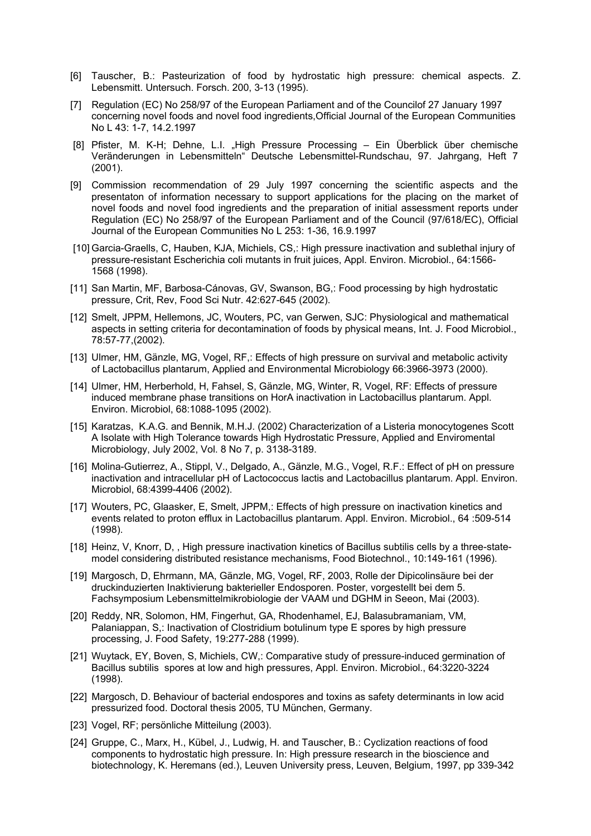- [6] Tauscher, B.: Pasteurization of food by hydrostatic high pressure: chemical aspects. Z. Lebensmitt. Untersuch. Forsch. 200, 3-13 (1995).
- [7] Regulation (EC) No 258/97 of the European Parliament and of the Councilof 27 January 1997 concerning novel foods and novel food ingredients,Official Journal of the European Communities No L 43: 1-7, 14.2.1997
- [8] Pfister, M. K-H; Dehne, L.I. "High Pressure Processing Ein Überblick über chemische Veränderungen in Lebensmitteln" Deutsche Lebensmittel-Rundschau, 97. Jahrgang, Heft 7 (2001).
- [9] Commission recommendation of 29 July 1997 concerning the scientific aspects and the presentaton of information necessary to support applications for the placing on the market of novel foods and novel food ingredients and the preparation of initial assessment reports under Regulation (EC) No 258/97 of the European Parliament and of the Council (97/618/EC), Official Journal of the European Communities No L 253: 1-36, 16.9.1997
- [10] Garcia-Graells, C, Hauben, KJA, Michiels, CS,: High pressure inactivation and sublethal injury of pressure-resistant Escherichia coli mutants in fruit juices, Appl. Environ. Microbiol., 64:1566- 1568 (1998).
- [11] San Martin, MF, Barbosa-Cánovas, GV, Swanson, BG,: Food processing by high hydrostatic pressure, Crit, Rev, Food Sci Nutr. 42:627-645 (2002).
- [12] Smelt, JPPM, Hellemons, JC, Wouters, PC, van Gerwen, SJC: Physiological and mathematical aspects in setting criteria for decontamination of foods by physical means, Int. J. Food Microbiol., 78:57-77,(2002).
- [13] Ulmer, HM, Gänzle, MG, Vogel, RF,: Effects of high pressure on survival and metabolic activity of Lactobacillus plantarum, Applied and Environmental Microbiology 66:3966-3973 (2000).
- [14] Ulmer, HM, Herberhold, H, Fahsel, S, Gänzle, MG, Winter, R, Vogel, RF: Effects of pressure induced membrane phase transitions on HorA inactivation in Lactobacillus plantarum. Appl. Environ. Microbiol, 68:1088-1095 (2002).
- [15] Karatzas, K.A.G. and Bennik, M.H.J. (2002) Characterization of a Listeria monocytogenes Scott A Isolate with High Tolerance towards High Hydrostatic Pressure, Applied and Enviromental Microbiology, July 2002, Vol. 8 No 7, p. 3138-3189.
- [16] Molina-Gutierrez, A., Stippl, V., Delgado, A., Gänzle, M.G., Vogel, R.F.: Effect of pH on pressure inactivation and intracellular pH of Lactococcus lactis and Lactobacillus plantarum. Appl. Environ. Microbiol, 68:4399-4406 (2002).
- [17] Wouters, PC, Glaasker, E, Smelt, JPPM,: Effects of high pressure on inactivation kinetics and events related to proton efflux in Lactobacillus plantarum. Appl. Environ. Microbiol., 64 :509-514 (1998).
- [18] Heinz, V, Knorr, D, , High pressure inactivation kinetics of Bacillus subtilis cells by a three-statemodel considering distributed resistance mechanisms, Food Biotechnol., 10:149-161 (1996).
- [19] Margosch, D, Ehrmann, MA, Gänzle, MG, Vogel, RF, 2003, Rolle der Dipicolinsäure bei der druckinduzierten Inaktivierung bakterieller Endosporen. Poster, vorgestellt bei dem 5. Fachsymposium Lebensmittelmikrobiologie der VAAM und DGHM in Seeon, Mai (2003).
- [20] Reddy, NR, Solomon, HM, Fingerhut, GA, Rhodenhamel, EJ, Balasubramaniam, VM, Palaniappan, S,: Inactivation of Clostridium botulinum type E spores by high pressure processing, J. Food Safety, 19:277-288 (1999).
- [21] Wuytack, EY, Boven, S, Michiels, CW,: Comparative study of pressure-induced germination of Bacillus subtilis spores at low and high pressures, Appl. Environ. Microbiol., 64:3220-3224 (1998).
- [22] Margosch, D. Behaviour of bacterial endospores and toxins as safety determinants in low acid pressurized food. Doctoral thesis 2005, TU München, Germany.
- [23] Vogel, RF; persönliche Mitteilung (2003).
- [24] Gruppe, C., Marx, H., Kübel, J., Ludwig, H. and Tauscher, B.: Cyclization reactions of food components to hydrostatic high pressure. In: High pressure research in the bioscience and biotechnology, K. Heremans (ed.), Leuven University press, Leuven, Belgium, 1997, pp 339-342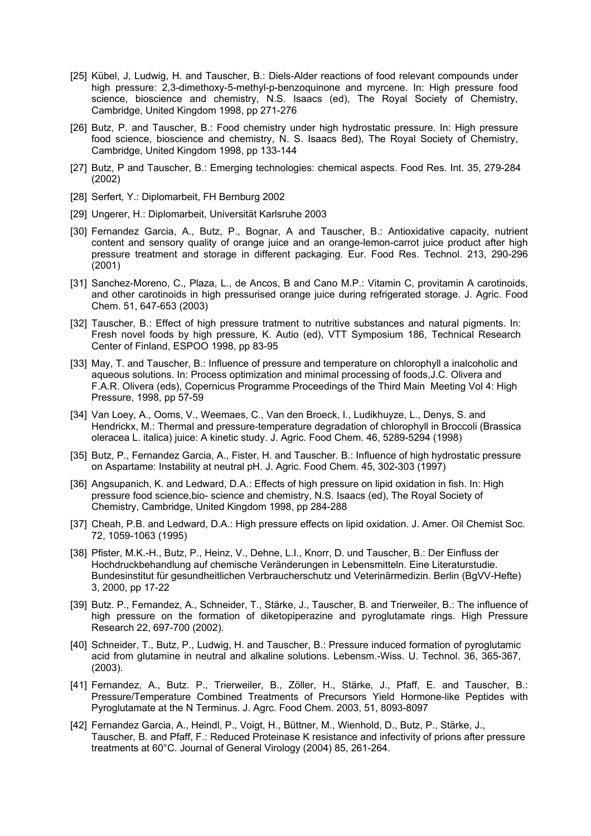- [25] Kübel, J, Ludwig, H. and Tauscher, B.: Diels-Alder reactions of food relevant compounds under high pressure: 2,3-dimethoxy-5-methyl-p-benzoquinone and myrcene. In: High pressure food science, bioscience and chemistry, N.S. Isaacs (ed), The Royal Society of Chemistry, Cambridge, United Kingdom 1998, pp 271-276
- [26] Butz, P. and Tauscher, B.: Food chemistry under high hydrostatic pressure. In: High pressure food science, bioscience and chemistry, N. S. Isaacs 8ed), The Royal Society of Chemistry, Cambridge, United Kingdom 1998, pp 133-144
- [27] Butz, P and Tauscher, B.: Emerging technologies: chemical aspects. Food Res. Int. 35, 279-284 (2002)
- [28] Serfert, Y.: Diplomarbeit, FH Bernburg 2002
- [29] Ungerer, H.: Diplomarbeit, Universität Karlsruhe 2003
- [30] Fernandez Garcia, A., Butz, P., Bognar, A and Tauscher, B.: Antioxidative capacity, nutrient content and sensory quality of orange juice and an orange-lemon-carrot juice product after high pressure treatment and storage in different packaging. Eur. Food Res. Technol. 213, 290-296 (2001)
- [31] Sanchez-Moreno, C., Plaza, L., de Ancos, B and Cano M.P.: Vitamin C, provitamin A carotinoids, and other carotinoids in high pressurised orange juice during refrigerated storage. J. Agric. Food Chem. 51, 647-653 (2003)
- [32] Tauscher, B.: Effect of high pressure tratment to nutritive substances and natural pigments. In: Fresh novel foods by high pressure, K. Autio (ed), VTT Symposium 186, Technical Research Center of Finland, ESPOO 1998, pp 83-95
- [33] May, T. and Tauscher, B.: Influence of pressure and temperature on chlorophyll a inalcoholic and aqueous solutions. In: Process optimization and minimal processing of foods,J.C. Olivera and F.A.R. Olivera (eds), Copernicus Programme Proceedings of the Third Main Meeting Vol 4: High Pressure, 1998, pp 57-59
- [34] Van Loey, A., Ooms, V., Weemaes, C., Van den Broeck, I., Ludikhuyze, L., Denys, S. and Hendrickx, M.: Thermal and pressure-temperature degradation of chlorophyll in Broccoli (Brassica oleracea L. italica) juice: A kinetic study. J. Agric. Food Chem. 46, 5289-5294 (1998)
- [35] Butz, P., Fernandez Garcia, A., Fister, H. and Tauscher. B.: Influence of high hydrostatic pressure on Aspartame: Instability at neutral pH. J. Agric. Food Chem. 45, 302-303 (1997)
- [36] Angsupanich, K. and Ledward, D.A.: Effects of high pressure on lipid oxidation in fish. In: High pressure food science,bio- science and chemistry, N.S. Isaacs (ed), The Royal Society of Chemistry, Cambridge, United Kingdom 1998, pp 284-288
- [37] Cheah, P.B. and Ledward, D.A.: High pressure effects on lipid oxidation. J. Amer. Oil Chemist Soc. 72, 1059-1063 (1995)
- [38] Pfister, M.K.-H., Butz, P., Heinz, V., Dehne, L.I., Knorr, D. und Tauscher, B.: Der Einfluss der Hochdruckbehandlung auf chemische Veränderungen in Lebensmitteln. Eine Literaturstudie. Bundesinstitut für gesundheitlichen Verbraucherschutz und Veterinärmedizin. Berlin (BgVV-Hefte) 3, 2000, pp 17-22
- [39] Butz. P., Fernandez, A., Schneider, T., Stärke, J., Tauscher, B. and Trierweiler, B.: The influence of high pressure on the formation of diketopiperazine and pyroglutamate rings. High Pressure Research 22, 697-700 (2002).
- [40] Schneider, T., Butz, P., Ludwig, H. and Tauscher, B.: Pressure induced formation of pyroglutamic acid from glutamine in neutral and alkaline solutions. Lebensm.-Wiss. U. Technol. 36, 365-367, (2003).
- [41] Fernandez, A., Butz. P., Trierweiler, B., Zöller, H., Stärke, J., Pfaff, E. and Tauscher, B.: Pressure/Temperature Combined Treatments of Precursors Yield Hormone-like Peptides with Pyroglutamate at the N Terminus. J. Agrc. Food Chem. 2003, 51, 8093-8097
- [42] Fernandez Garcia, A., Heindl, P., Voigt, H., Büttner, M., Wienhold, D., Butz, P., Stärke, J., Tauscher, B. and Pfaff, F.: Reduced Proteinase K resistance and infectivity of prions after pressure treatments at 60°C. Journal of General Virology (2004) 85, 261-264.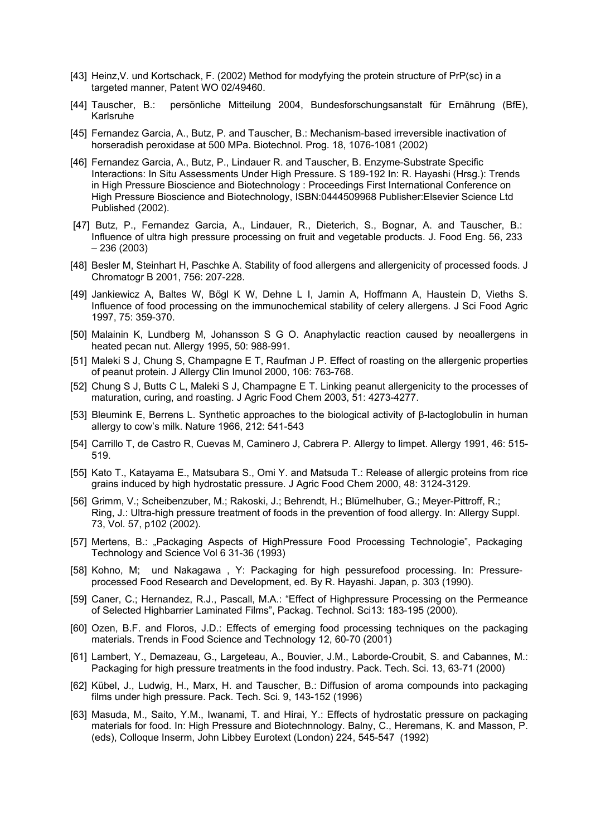- [43] Heinz, V. und Kortschack, F. (2002) Method for modyfying the protein structure of PrP(sc) in a targeted manner, Patent WO 02/49460.
- [44] Tauscher, B.: persönliche Mitteilung 2004, Bundesforschungsanstalt für Ernährung (BfE), Karlsruhe
- [45] Fernandez Garcia, A., Butz, P. and Tauscher, B.: Mechanism-based irreversible inactivation of horseradish peroxidase at 500 MPa. Biotechnol. Prog. 18, 1076-1081 (2002)
- [46] Fernandez Garcia, A., Butz, P., Lindauer R. and Tauscher, B. Enzyme-Substrate Specific Interactions: In Situ Assessments Under High Pressure. S 189-192 In: R. Hayashi (Hrsg.): Trends in High Pressure Bioscience and Biotechnology : Proceedings First International Conference on High Pressure Bioscience and Biotechnology, ISBN:0444509968 Publisher:Elsevier Science Ltd Published (2002).
- [47] Butz, P., Fernandez Garcia, A., Lindauer, R., Dieterich, S., Bognar, A. and Tauscher, B.: Influence of ultra high pressure processing on fruit and vegetable products. J. Food Eng. 56, 233 – 236 (2003)
- [48] Besler M, Steinhart H, Paschke A. Stability of food allergens and allergenicity of processed foods. J Chromatogr B 2001, 756: 207-228.
- [49] Jankiewicz A, Baltes W, Bögl K W, Dehne L I, Jamin A, Hoffmann A, Haustein D, Vieths S. Influence of food processing on the immunochemical stability of celery allergens. J Sci Food Agric 1997, 75: 359-370.
- [50] Malainin K, Lundberg M, Johansson S G O. Anaphylactic reaction caused by neoallergens in heated pecan nut. Allergy 1995, 50: 988-991.
- [51] Maleki S J, Chung S, Champagne E T, Raufman J P. Effect of roasting on the allergenic properties of peanut protein. J Allergy Clin Imunol 2000, 106: 763-768.
- [52] Chung S J, Butts C L, Maleki S J, Champagne E T. Linking peanut allergenicity to the processes of maturation, curing, and roasting. J Agric Food Chem 2003, 51: 4273-4277.
- [53] Bleumink E, Berrens L. Synthetic approaches to the biological activity of β-lactoglobulin in human allergy to cow's milk. Nature 1966, 212: 541-543
- [54] Carrillo T, de Castro R, Cuevas M, Caminero J, Cabrera P. Allergy to limpet. Allergy 1991, 46: 515- 519.
- [55] Kato T., Katayama E., Matsubara S., Omi Y. and Matsuda T.: Release of allergic proteins from rice grains induced by high hydrostatic pressure. J Agric Food Chem 2000, 48: 3124-3129.
- [56] Grimm, V.; Scheibenzuber, M.; Rakoski, J.; Behrendt, H.; Blümelhuber, G.; Meyer-Pittroff, R.; Ring, J.: Ultra-high pressure treatment of foods in the prevention of food allergy. In: Allergy Suppl. 73, Vol. 57, p102 (2002).
- [57] Mertens, B.: "Packaging Aspects of HighPressure Food Processing Technologie", Packaging Technology and Science Vol 6 31-36 (1993)
- [58] Kohno, M; und Nakagawa , Y: Packaging for high pessurefood processing. In: Pressureprocessed Food Research and Development, ed. By R. Hayashi. Japan, p. 303 (1990).
- [59] Caner, C.; Hernandez, R.J., Pascall, M.A.: "Effect of Highpressure Processing on the Permeance of Selected Highbarrier Laminated Films", Packag. Technol. Sci13: 183-195 (2000).
- [60] Ozen, B.F. and Floros, J.D.: Effects of emerging food processing techniques on the packaging materials. Trends in Food Science and Technology 12, 60-70 (2001)
- [61] Lambert, Y., Demazeau, G., Largeteau, A., Bouvier, J.M., Laborde-Croubit, S. and Cabannes, M.: Packaging for high pressure treatments in the food industry. Pack. Tech. Sci. 13, 63-71 (2000)
- [62] Kübel, J., Ludwig, H., Marx, H. and Tauscher, B.: Diffusion of aroma compounds into packaging films under high pressure. Pack. Tech. Sci. 9, 143-152 (1996)
- [63] Masuda, M., Saito, Y.M., Iwanami, T. and Hirai, Y.: Effects of hydrostatic pressure on packaging materials for food. In: High Pressure and Biotechnnology. Balny, C., Heremans, K. and Masson, P. (eds), Colloque Inserm, John Libbey Eurotext (London) 224, 545-547 (1992)